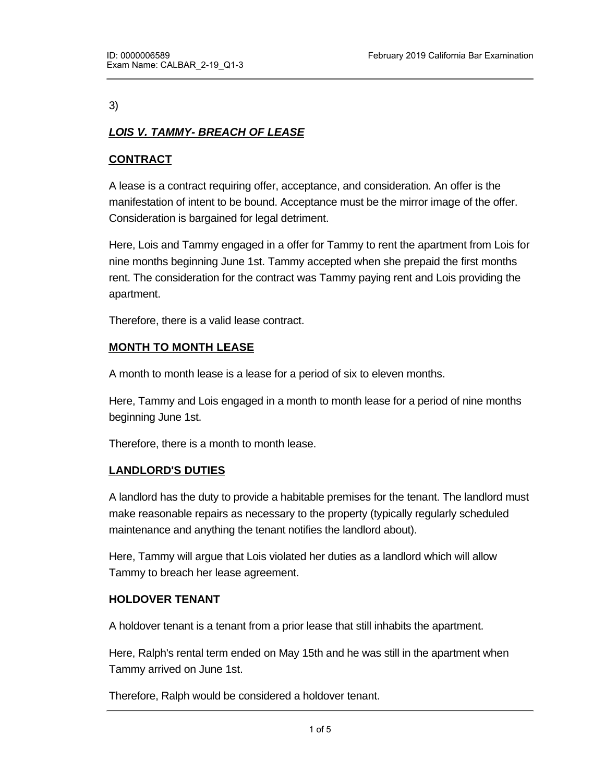#### 3)

# *LOIS V. TAMMY- BREACH OF LEASE*

# **CONTRACT**

A lease is a contract requiring offer, acceptance, and consideration. An offer is the manifestation of intent to be bound. Acceptance must be the mirror image of the offer. Consideration is bargained for legal detriment.

Here, Lois and Tammy engaged in a offer for Tammy to rent the apartment from Lois for nine months beginning June 1st. Tammy accepted when she prepaid the first months rent. The consideration for the contract was Tammy paying rent and Lois providing the apartment.

Therefore, there is a valid lease contract.

### **MONTH TO MONTH LEASE**

A month to month lease is a lease for a period of six to eleven months.

Here, Tammy and Lois engaged in a month to month lease for a period of nine months beginning June 1st.

Therefore, there is a month to month lease.

#### **LANDLORD'S DUTIES**

A landlord has the duty to provide a habitable premises for the tenant. The landlord must make reasonable repairs as necessary to the property (typically regularly scheduled maintenance and anything the tenant notifies the landlord about).

Here, Tammy will argue that Lois violated her duties as a landlord which will allow Tammy to breach her lease agreement.

#### **HOLDOVER TENANT**

A holdover tenant is a tenant from a prior lease that still inhabits the apartment.

Here, Ralph's rental term ended on May 15th and he was still in the apartment when Tammy arrived on June 1st.

Therefore, Ralph would be considered a holdover tenant.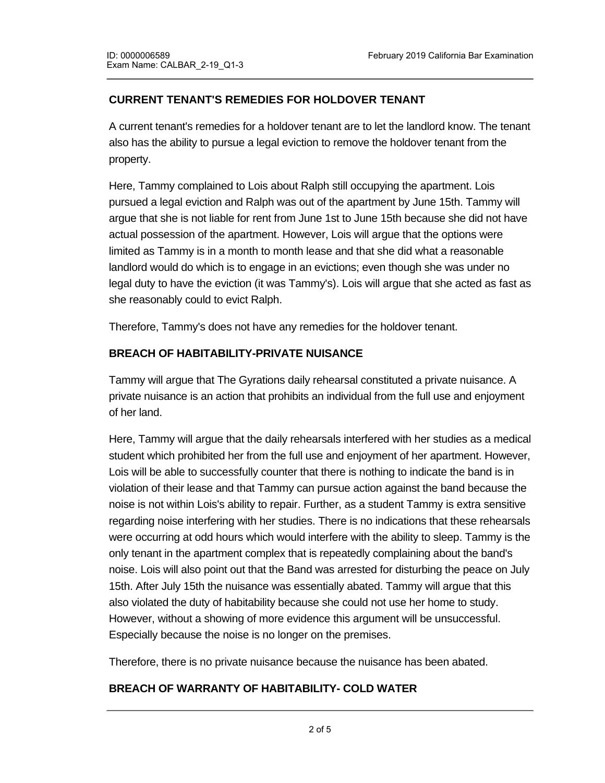# **CURRENT TENANT'S REMEDIES FOR HOLDOVER TENANT**

A current tenant's remedies for a holdover tenant are to let the landlord know. The tenant also has the ability to pursue a legal eviction to remove the holdover tenant from the property.

Here, Tammy complained to Lois about Ralph still occupying the apartment. Lois pursued a legal eviction and Ralph was out of the apartment by June 15th. Tammy will argue that she is not liable for rent from June 1st to June 15th because she did not have actual possession of the apartment. However, Lois will argue that the options were limited as Tammy is in a month to month lease and that she did what a reasonable landlord would do which is to engage in an evictions; even though she was under no legal duty to have the eviction (it was Tammy's). Lois will argue that she acted as fast as she reasonably could to evict Ralph.

Therefore, Tammy's does not have any remedies for the holdover tenant.

### **BREACH OF HABITABILITY-PRIVATE NUISANCE**

Tammy will argue that The Gyrations daily rehearsal constituted a private nuisance. A private nuisance is an action that prohibits an individual from the full use and enjoyment of her land.

Here, Tammy will argue that the daily rehearsals interfered with her studies as a medical student which prohibited her from the full use and enjoyment of her apartment. However, Lois will be able to successfully counter that there is nothing to indicate the band is in violation of their lease and that Tammy can pursue action against the band because the noise is not within Lois's ability to repair. Further, as a student Tammy is extra sensitive regarding noise interfering with her studies. There is no indications that these rehearsals were occurring at odd hours which would interfere with the ability to sleep. Tammy is the only tenant in the apartment complex that is repeatedly complaining about the band's noise. Lois will also point out that the Band was arrested for disturbing the peace on July 15th. After July 15th the nuisance was essentially abated. Tammy will argue that this also violated the duty of habitability because she could not use her home to study. However, without a showing of more evidence this argument will be unsuccessful. Especially because the noise is no longer on the premises.

Therefore, there is no private nuisance because the nuisance has been abated.

#### **BREACH OF WARRANTY OF HABITABILITY- COLD WATER**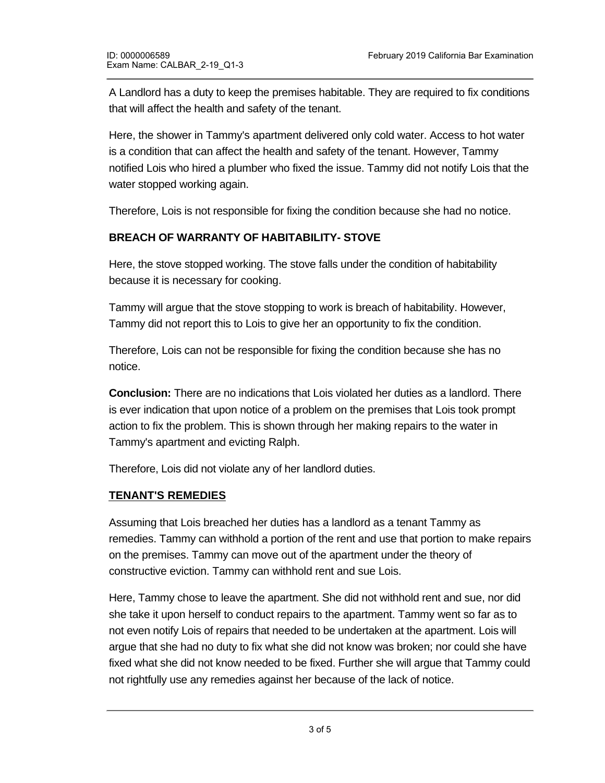A Landlord has a duty to keep the premises habitable. They are required to fix conditions that will affect the health and safety of the tenant.

Here, the shower in Tammy's apartment delivered only cold water. Access to hot water is a condition that can affect the health and safety of the tenant. However, Tammy notified Lois who hired a plumber who fixed the issue. Tammy did not notify Lois that the water stopped working again.

Therefore, Lois is not responsible for fixing the condition because she had no notice.

# **BREACH OF WARRANTY OF HABITABILITY- STOVE**

Here, the stove stopped working. The stove falls under the condition of habitability because it is necessary for cooking.

Tammy will argue that the stove stopping to work is breach of habitability. However, Tammy did not report this to Lois to give her an opportunity to fix the condition.

Therefore, Lois can not be responsible for fixing the condition because she has no notice.

**Conclusion:** There are no indications that Lois violated her duties as a landlord. There is ever indication that upon notice of a problem on the premises that Lois took prompt action to fix the problem. This is shown through her making repairs to the water in Tammy's apartment and evicting Ralph.

Therefore, Lois did not violate any of her landlord duties.

#### **TENANT'S REMEDIES**

**CONSTRUCTION** 

Assuming that Lois breached her duties has a landlord as a tenant Tammy as remedies. Tammy can withhold a portion of the rent and use that portion to make repairs on the premises. Tammy can move out of the apartment under the theory of constructive eviction. Tammy can withhold rent and sue Lois.

Here, Tammy chose to leave the apartment. She did not withhold rent and sue, nor did she take it upon herself to conduct repairs to the apartment. Tammy went so far as to not even notify Lois of repairs that needed to be undertaken at the apartment. Lois will argue that she had no duty to fix what she did not know was broken; nor could she have fixed what she did not know needed to be fixed. Further she will argue that Tammy could not rightfully use any remedies against her because of the lack of notice.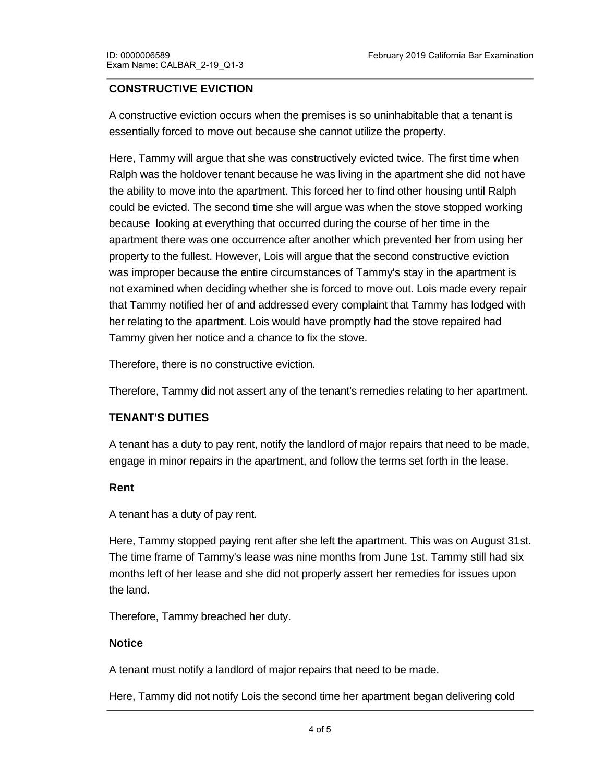## **CONSTRUCTIVE EVICTION**

A constructive eviction occurs when the premises is so uninhabitable that a tenant is essentially forced to move out because she cannot utilize the property.

Here, Tammy will argue that she was constructively evicted twice. The first time when Ralph was the holdover tenant because he was living in the apartment she did not have the ability to move into the apartment. This forced her to find other housing until Ralph could be evicted. The second time she will argue was when the stove stopped working because looking at everything that occurred during the course of her time in the apartment there was one occurrence after another which prevented her from using her property to the fullest. However, Lois will argue that the second constructive eviction was improper because the entire circumstances of Tammy's stay in the apartment is not examined when deciding whether she is forced to move out. Lois made every repair that Tammy notified her of and addressed every complaint that Tammy has lodged with her relating to the apartment. Lois would have promptly had the stove repaired had Tammy given her notice and a chance to fix the stove.

Therefore, there is no constructive eviction.

Therefore, Tammy did not assert any of the tenant's remedies relating to her apartment.

#### **TENANT'S DUTIES**

A tenant has a duty to pay rent, notify the landlord of major repairs that need to be made, engage in minor repairs in the apartment, and follow the terms set forth in the lease.

#### **Rent**

A tenant has a duty of pay rent.

Here, Tammy stopped paying rent after she left the apartment. This was on August 31st. The time frame of Tammy's lease was nine months from June 1st. Tammy still had six months left of her lease and she did not properly assert her remedies for issues upon the land.

Therefore, Tammy breached her duty.

#### **Notice**

A tenant must notify a landlord of major repairs that need to be made.

Here, Tammy did not notify Lois the second time her apartment began delivering cold